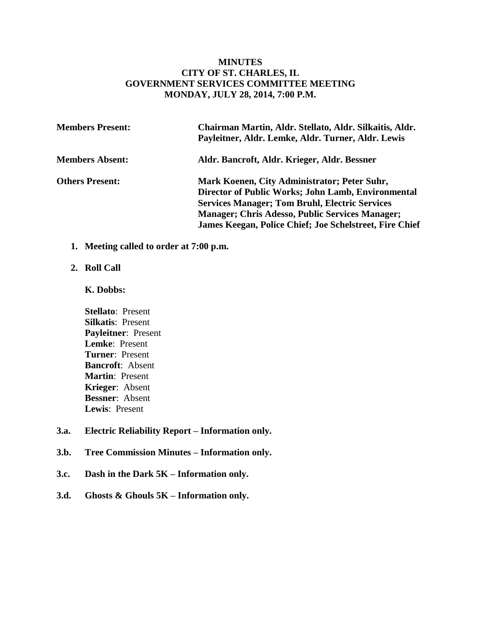## **MINUTES CITY OF ST. CHARLES, IL GOVERNMENT SERVICES COMMITTEE MEETING MONDAY, JULY 28, 2014, 7:00 P.M.**

| <b>Members Present:</b> | Chairman Martin, Aldr. Stellato, Aldr. Silkaitis, Aldr.<br>Payleitner, Aldr. Lemke, Aldr. Turner, Aldr. Lewis |
|-------------------------|---------------------------------------------------------------------------------------------------------------|
| <b>Members Absent:</b>  | Aldr. Bancroft, Aldr. Krieger, Aldr. Bessner                                                                  |
| <b>Others Present:</b>  | Mark Koenen, City Administrator; Peter Suhr,<br>Director of Public Works; John Lamb, Environmental            |
|                         | <b>Services Manager; Tom Bruhl, Electric Services</b>                                                         |
|                         | <b>Manager; Chris Adesso, Public Services Manager;</b>                                                        |
|                         | <b>James Keegan, Police Chief; Joe Schelstreet, Fire Chief</b>                                                |

**1. Meeting called to order at 7:00 p.m.** 

#### **2. Roll Call**

#### **K. Dobbs:**

- **Stellato**: Present **Silkatis**: Present **Payleitner**: Present **Lemke**: Present **Turner**: Present **Bancroft**: Absent **Martin**: Present **Krieger**: Absent **Bessner**: Absent **Lewis**: Present
- **3.a. Electric Reliability Report – Information only.**
- **3.b. Tree Commission Minutes – Information only.**
- **3.c. Dash in the Dark 5K – Information only.**
- **3.d. Ghosts & Ghouls 5K – Information only.**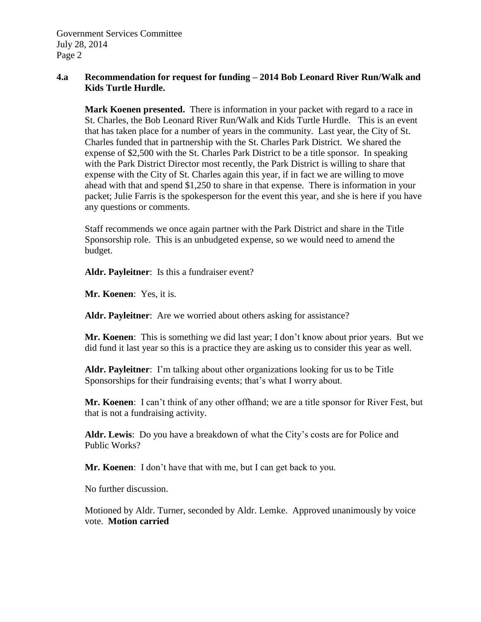## **4.a Recommendation for request for funding – 2014 Bob Leonard River Run/Walk and Kids Turtle Hurdle.**

**Mark Koenen presented.** There is information in your packet with regard to a race in St. Charles, the Bob Leonard River Run/Walk and Kids Turtle Hurdle. This is an event that has taken place for a number of years in the community. Last year, the City of St. Charles funded that in partnership with the St. Charles Park District. We shared the expense of \$2,500 with the St. Charles Park District to be a title sponsor. In speaking with the Park District Director most recently, the Park District is willing to share that expense with the City of St. Charles again this year, if in fact we are willing to move ahead with that and spend \$1,250 to share in that expense. There is information in your packet; Julie Farris is the spokesperson for the event this year, and she is here if you have any questions or comments.

Staff recommends we once again partner with the Park District and share in the Title Sponsorship role. This is an unbudgeted expense, so we would need to amend the budget.

**Aldr. Payleitner**: Is this a fundraiser event?

**Mr. Koenen**: Yes, it is.

**Aldr. Payleitner**: Are we worried about others asking for assistance?

**Mr. Koenen**: This is something we did last year; I don't know about prior years. But we did fund it last year so this is a practice they are asking us to consider this year as well.

**Aldr. Payleitner**: I'm talking about other organizations looking for us to be Title Sponsorships for their fundraising events; that's what I worry about.

**Mr. Koenen**: I can't think of any other offhand; we are a title sponsor for River Fest, but that is not a fundraising activity.

**Aldr. Lewis**: Do you have a breakdown of what the City's costs are for Police and Public Works?

**Mr. Koenen**: I don't have that with me, but I can get back to you.

No further discussion.

Motioned by Aldr. Turner, seconded by Aldr. Lemke. Approved unanimously by voice vote. **Motion carried**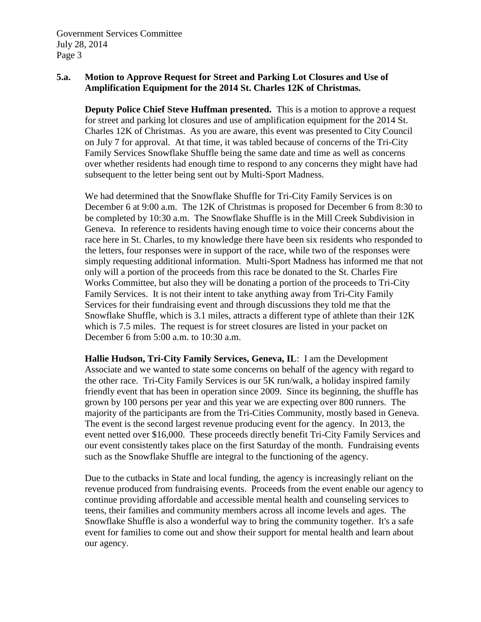# **5.a. Motion to Approve Request for Street and Parking Lot Closures and Use of Amplification Equipment for the 2014 St. Charles 12K of Christmas.**

**Deputy Police Chief Steve Huffman presented.** This is a motion to approve a request for street and parking lot closures and use of amplification equipment for the 2014 St. Charles 12K of Christmas. As you are aware, this event was presented to City Council on July 7 for approval. At that time, it was tabled because of concerns of the Tri-City Family Services Snowflake Shuffle being the same date and time as well as concerns over whether residents had enough time to respond to any concerns they might have had subsequent to the letter being sent out by Multi-Sport Madness.

We had determined that the Snowflake Shuffle for Tri-City Family Services is on December 6 at 9:00 a.m. The 12K of Christmas is proposed for December 6 from 8:30 to be completed by 10:30 a.m. The Snowflake Shuffle is in the Mill Creek Subdivision in Geneva. In reference to residents having enough time to voice their concerns about the race here in St. Charles, to my knowledge there have been six residents who responded to the letters, four responses were in support of the race, while two of the responses were simply requesting additional information. Multi-Sport Madness has informed me that not only will a portion of the proceeds from this race be donated to the St. Charles Fire Works Committee, but also they will be donating a portion of the proceeds to Tri-City Family Services. It is not their intent to take anything away from Tri-City Family Services for their fundraising event and through discussions they told me that the Snowflake Shuffle, which is 3.1 miles, attracts a different type of athlete than their 12K which is 7.5 miles. The request is for street closures are listed in your packet on December 6 from 5:00 a.m. to 10:30 a.m.

**Hallie Hudson, Tri-City Family Services, Geneva, IL**: I am the Development Associate and we wanted to state some concerns on behalf of the agency with regard to the other race. Tri-City Family Services is our 5K run/walk, a holiday inspired family friendly event that has been in operation since 2009. Since its beginning, the shuffle has grown by 100 persons per year and this year we are expecting over 800 runners. The majority of the participants are from the Tri-Cities Community, mostly based in Geneva. The event is the second largest revenue producing event for the agency. In 2013, the event netted over \$16,000. These proceeds directly benefit Tri-City Family Services and our event consistently takes place on the first Saturday of the month. Fundraising events such as the Snowflake Shuffle are integral to the functioning of the agency.

Due to the cutbacks in State and local funding, the agency is increasingly reliant on the revenue produced from fundraising events. Proceeds from the event enable our agency to continue providing affordable and accessible mental health and counseling services to teens, their families and community members across all income levels and ages. The Snowflake Shuffle is also a wonderful way to bring the community together. It's a safe event for families to come out and show their support for mental health and learn about our agency.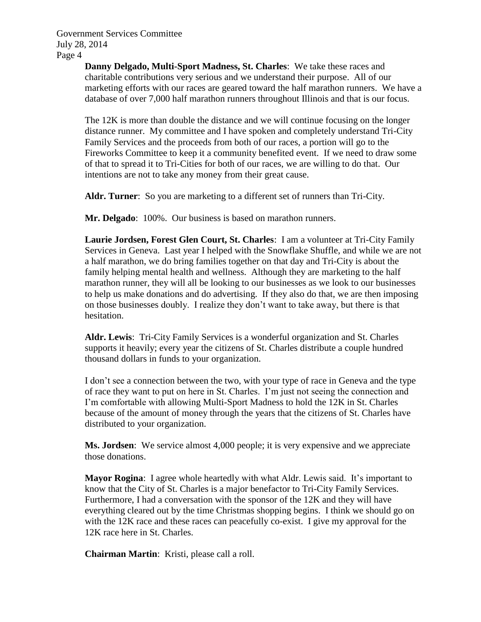> **Danny Delgado, Multi-Sport Madness, St. Charles**: We take these races and charitable contributions very serious and we understand their purpose. All of our marketing efforts with our races are geared toward the half marathon runners. We have a database of over 7,000 half marathon runners throughout Illinois and that is our focus.

The 12K is more than double the distance and we will continue focusing on the longer distance runner. My committee and I have spoken and completely understand Tri-City Family Services and the proceeds from both of our races, a portion will go to the Fireworks Committee to keep it a community benefited event. If we need to draw some of that to spread it to Tri-Cities for both of our races, we are willing to do that. Our intentions are not to take any money from their great cause.

**Aldr. Turner**: So you are marketing to a different set of runners than Tri-City.

**Mr. Delgado**: 100%. Our business is based on marathon runners.

**Laurie Jordsen, Forest Glen Court, St. Charles**: I am a volunteer at Tri-City Family Services in Geneva. Last year I helped with the Snowflake Shuffle, and while we are not a half marathon, we do bring families together on that day and Tri-City is about the family helping mental health and wellness. Although they are marketing to the half marathon runner, they will all be looking to our businesses as we look to our businesses to help us make donations and do advertising. If they also do that, we are then imposing on those businesses doubly. I realize they don't want to take away, but there is that hesitation.

**Aldr. Lewis**: Tri-City Family Services is a wonderful organization and St. Charles supports it heavily; every year the citizens of St. Charles distribute a couple hundred thousand dollars in funds to your organization.

I don't see a connection between the two, with your type of race in Geneva and the type of race they want to put on here in St. Charles. I'm just not seeing the connection and I'm comfortable with allowing Multi-Sport Madness to hold the 12K in St. Charles because of the amount of money through the years that the citizens of St. Charles have distributed to your organization.

**Ms. Jordsen**: We service almost 4,000 people; it is very expensive and we appreciate those donations.

**Mayor Rogina**: I agree whole heartedly with what Aldr. Lewis said. It's important to know that the City of St. Charles is a major benefactor to Tri-City Family Services. Furthermore, I had a conversation with the sponsor of the 12K and they will have everything cleared out by the time Christmas shopping begins. I think we should go on with the 12K race and these races can peacefully co-exist. I give my approval for the 12K race here in St. Charles.

**Chairman Martin**: Kristi, please call a roll.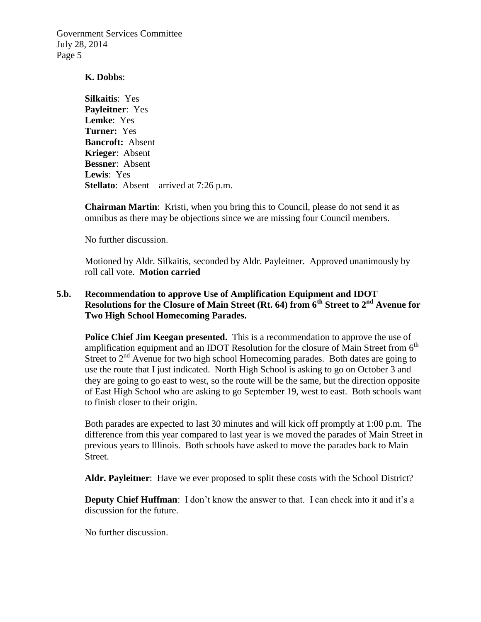#### **K. Dobbs**:

**Silkaitis**: Yes **Payleitner**: Yes **Lemke**: Yes **Turner:** Yes **Bancroft:** Absent **Krieger**: Absent **Bessner**: Absent **Lewis**: Yes **Stellato**: Absent – arrived at 7:26 p.m.

**Chairman Martin**: Kristi, when you bring this to Council, please do not send it as omnibus as there may be objections since we are missing four Council members.

No further discussion.

Motioned by Aldr. Silkaitis, seconded by Aldr. Payleitner. Approved unanimously by roll call vote. **Motion carried**

## **5.b. Recommendation to approve Use of Amplification Equipment and IDOT Resolutions for the Closure of Main Street (Rt. 64) from 6th Street to 2nd Avenue for Two High School Homecoming Parades.**

**Police Chief Jim Keegan presented.** This is a recommendation to approve the use of amplification equipment and an IDOT Resolution for the closure of Main Street from  $6<sup>th</sup>$ Street to  $2<sup>nd</sup>$  Avenue for two high school Homecoming parades. Both dates are going to use the route that I just indicated. North High School is asking to go on October 3 and they are going to go east to west, so the route will be the same, but the direction opposite of East High School who are asking to go September 19, west to east. Both schools want to finish closer to their origin.

Both parades are expected to last 30 minutes and will kick off promptly at 1:00 p.m. The difference from this year compared to last year is we moved the parades of Main Street in previous years to Illinois. Both schools have asked to move the parades back to Main Street.

**Aldr. Payleitner**: Have we ever proposed to split these costs with the School District?

**Deputy Chief Huffman**: I don't know the answer to that. I can check into it and it's a discussion for the future.

No further discussion.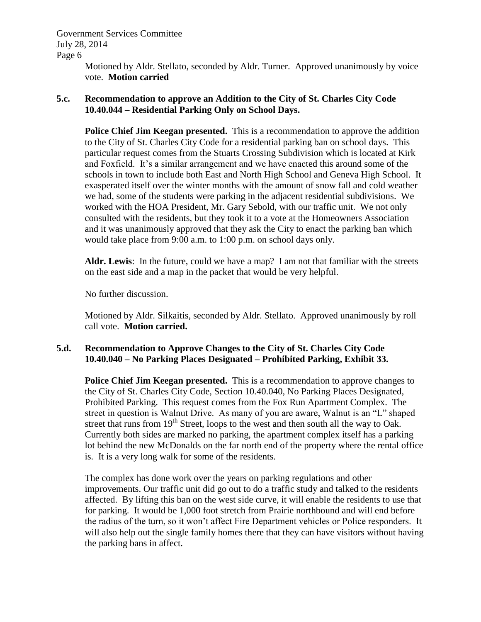Government Services Committee July 28, 2014

Page 6

Motioned by Aldr. Stellato, seconded by Aldr. Turner. Approved unanimously by voice vote. **Motion carried**

## **5.c. Recommendation to approve an Addition to the City of St. Charles City Code 10.40.044 – Residential Parking Only on School Days.**

**Police Chief Jim Keegan presented.** This is a recommendation to approve the addition to the City of St. Charles City Code for a residential parking ban on school days. This particular request comes from the Stuarts Crossing Subdivision which is located at Kirk and Foxfield. It's a similar arrangement and we have enacted this around some of the schools in town to include both East and North High School and Geneva High School. It exasperated itself over the winter months with the amount of snow fall and cold weather we had, some of the students were parking in the adjacent residential subdivisions. We worked with the HOA President, Mr. Gary Sebold, with our traffic unit. We not only consulted with the residents, but they took it to a vote at the Homeowners Association and it was unanimously approved that they ask the City to enact the parking ban which would take place from 9:00 a.m. to 1:00 p.m. on school days only.

**Aldr. Lewis**: In the future, could we have a map? I am not that familiar with the streets on the east side and a map in the packet that would be very helpful.

No further discussion.

Motioned by Aldr. Silkaitis, seconded by Aldr. Stellato. Approved unanimously by roll call vote. **Motion carried.**

# **5.d. Recommendation to Approve Changes to the City of St. Charles City Code 10.40.040 – No Parking Places Designated – Prohibited Parking, Exhibit 33.**

**Police Chief Jim Keegan presented.** This is a recommendation to approve changes to the City of St. Charles City Code, Section 10.40.040, No Parking Places Designated, Prohibited Parking. This request comes from the Fox Run Apartment Complex. The street in question is Walnut Drive. As many of you are aware, Walnut is an "L" shaped street that runs from  $19<sup>th</sup>$  Street, loops to the west and then south all the way to Oak. Currently both sides are marked no parking, the apartment complex itself has a parking lot behind the new McDonalds on the far north end of the property where the rental office is. It is a very long walk for some of the residents.

The complex has done work over the years on parking regulations and other improvements. Our traffic unit did go out to do a traffic study and talked to the residents affected. By lifting this ban on the west side curve, it will enable the residents to use that for parking. It would be 1,000 foot stretch from Prairie northbound and will end before the radius of the turn, so it won't affect Fire Department vehicles or Police responders. It will also help out the single family homes there that they can have visitors without having the parking bans in affect.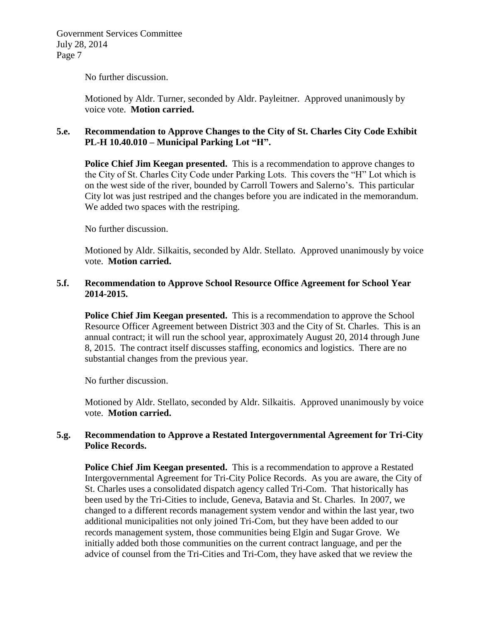No further discussion.

Motioned by Aldr. Turner, seconded by Aldr. Payleitner. Approved unanimously by voice vote. **Motion carried.**

# **5.e. Recommendation to Approve Changes to the City of St. Charles City Code Exhibit PL-H 10.40.010 – Municipal Parking Lot "H".**

**Police Chief Jim Keegan presented.** This is a recommendation to approve changes to the City of St. Charles City Code under Parking Lots. This covers the "H" Lot which is on the west side of the river, bounded by Carroll Towers and Salerno's. This particular City lot was just restriped and the changes before you are indicated in the memorandum. We added two spaces with the restriping.

No further discussion.

Motioned by Aldr. Silkaitis, seconded by Aldr. Stellato. Approved unanimously by voice vote. **Motion carried.**

## **5.f. Recommendation to Approve School Resource Office Agreement for School Year 2014-2015.**

**Police Chief Jim Keegan presented.** This is a recommendation to approve the School Resource Officer Agreement between District 303 and the City of St. Charles. This is an annual contract; it will run the school year, approximately August 20, 2014 through June 8, 2015. The contract itself discusses staffing, economics and logistics. There are no substantial changes from the previous year.

No further discussion.

Motioned by Aldr. Stellato, seconded by Aldr. Silkaitis. Approved unanimously by voice vote. **Motion carried.**

### **5.g. Recommendation to Approve a Restated Intergovernmental Agreement for Tri-City Police Records.**

**Police Chief Jim Keegan presented.** This is a recommendation to approve a Restated Intergovernmental Agreement for Tri-City Police Records. As you are aware, the City of St. Charles uses a consolidated dispatch agency called Tri-Com. That historically has been used by the Tri-Cities to include, Geneva, Batavia and St. Charles. In 2007, we changed to a different records management system vendor and within the last year, two additional municipalities not only joined Tri-Com, but they have been added to our records management system, those communities being Elgin and Sugar Grove. We initially added both those communities on the current contract language, and per the advice of counsel from the Tri-Cities and Tri-Com, they have asked that we review the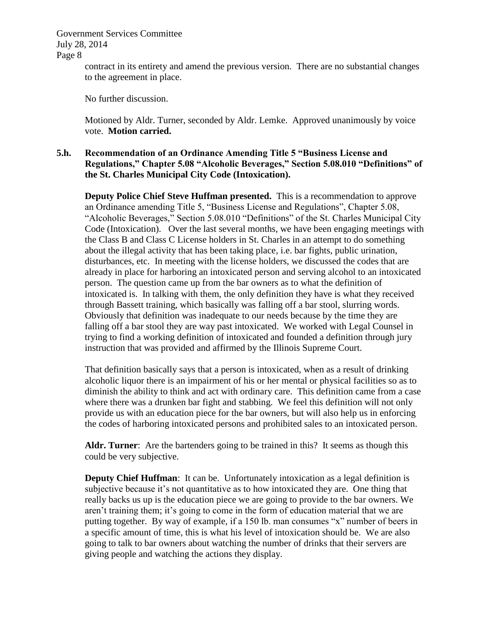Government Services Committee July 28, 2014

Page 8

contract in its entirety and amend the previous version. There are no substantial changes to the agreement in place.

No further discussion.

Motioned by Aldr. Turner, seconded by Aldr. Lemke. Approved unanimously by voice vote. **Motion carried.**

## **5.h. Recommendation of an Ordinance Amending Title 5 "Business License and Regulations," Chapter 5.08 "Alcoholic Beverages," Section 5.08.010 "Definitions" of the St. Charles Municipal City Code (Intoxication).**

**Deputy Police Chief Steve Huffman presented.** This is a recommendation to approve an Ordinance amending Title 5, "Business License and Regulations", Chapter 5.08, "Alcoholic Beverages," Section 5.08.010 "Definitions" of the St. Charles Municipal City Code (Intoxication).Over the last several months, we have been engaging meetings with the Class B and Class C License holders in St. Charles in an attempt to do something about the illegal activity that has been taking place, i.e. bar fights, public urination, disturbances, etc. In meeting with the license holders, we discussed the codes that are already in place for harboring an intoxicated person and serving alcohol to an intoxicated person. The question came up from the bar owners as to what the definition of intoxicated is. In talking with them, the only definition they have is what they received through Bassett training, which basically was falling off a bar stool, slurring words. Obviously that definition was inadequate to our needs because by the time they are falling off a bar stool they are way past intoxicated. We worked with Legal Counsel in trying to find a working definition of intoxicated and founded a definition through jury instruction that was provided and affirmed by the Illinois Supreme Court.

That definition basically says that a person is intoxicated, when as a result of drinking alcoholic liquor there is an impairment of his or her mental or physical facilities so as to diminish the ability to think and act with ordinary care. This definition came from a case where there was a drunken bar fight and stabbing. We feel this definition will not only provide us with an education piece for the bar owners, but will also help us in enforcing the codes of harboring intoxicated persons and prohibited sales to an intoxicated person.

Aldr. Turner: Are the bartenders going to be trained in this? It seems as though this could be very subjective.

**Deputy Chief Huffman**: It can be. Unfortunately intoxication as a legal definition is subjective because it's not quantitative as to how intoxicated they are. One thing that really backs us up is the education piece we are going to provide to the bar owners. We aren't training them; it's going to come in the form of education material that we are putting together. By way of example, if a 150 lb. man consumes "x" number of beers in a specific amount of time, this is what his level of intoxication should be. We are also going to talk to bar owners about watching the number of drinks that their servers are giving people and watching the actions they display.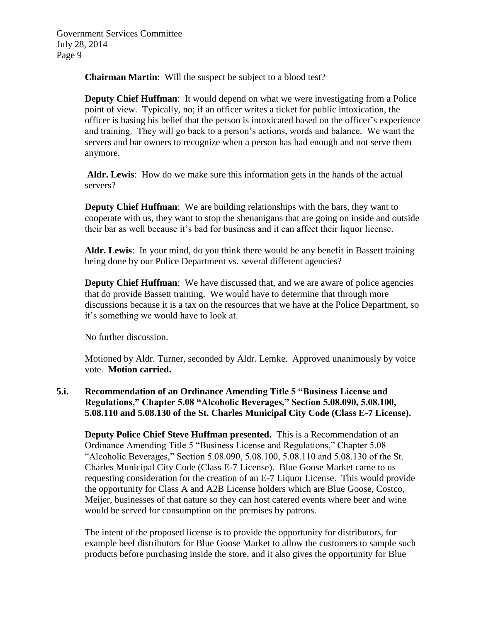**Chairman Martin**: Will the suspect be subject to a blood test?

**Deputy Chief Huffman**: It would depend on what we were investigating from a Police point of view. Typically, no; if an officer writes a ticket for public intoxication, the officer is basing his belief that the person is intoxicated based on the officer's experience and training. They will go back to a person's actions, words and balance. We want the servers and bar owners to recognize when a person has had enough and not serve them anymore.

**Aldr. Lewis**: How do we make sure this information gets in the hands of the actual servers?

**Deputy Chief Huffman**: We are building relationships with the bars, they want to cooperate with us, they want to stop the shenanigans that are going on inside and outside their bar as well because it's bad for business and it can affect their liquor license.

**Aldr. Lewis**: In your mind, do you think there would be any benefit in Bassett training being done by our Police Department vs. several different agencies?

**Deputy Chief Huffman**: We have discussed that, and we are aware of police agencies that do provide Bassett training. We would have to determine that through more discussions because it is a tax on the resources that we have at the Police Department, so it's something we would have to look at.

No further discussion.

Motioned by Aldr. Turner, seconded by Aldr. Lemke. Approved unanimously by voice vote. **Motion carried.**

# **5.i. Recommendation of an Ordinance Amending Title 5 "Business License and Regulations," Chapter 5.08 "Alcoholic Beverages," Section 5.08.090, 5.08.100, 5.08.110 and 5.08.130 of the St. Charles Municipal City Code (Class E-7 License).**

**Deputy Police Chief Steve Huffman presented.** This is a Recommendation of an Ordinance Amending Title 5 "Business License and Regulations," Chapter 5.08 "Alcoholic Beverages," Section 5.08.090, 5.08.100, 5.08.110 and 5.08.130 of the St. Charles Municipal City Code (Class E-7 License). Blue Goose Market came to us requesting consideration for the creation of an E-7 Liquor License. This would provide the opportunity for Class A and A2B License holders which are Blue Goose, Costco, Meijer, businesses of that nature so they can host catered events where beer and wine would be served for consumption on the premises by patrons.

The intent of the proposed license is to provide the opportunity for distributors, for example beef distributors for Blue Goose Market to allow the customers to sample such products before purchasing inside the store, and it also gives the opportunity for Blue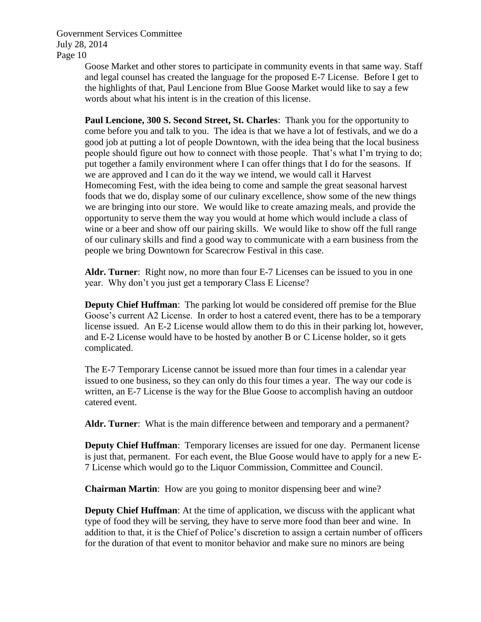Goose Market and other stores to participate in community events in that same way. Staff and legal counsel has created the language for the proposed E-7 License. Before I get to the highlights of that, Paul Lencione from Blue Goose Market would like to say a few words about what his intent is in the creation of this license.

**Paul Lencione, 300 S. Second Street, St. Charles**: Thank you for the opportunity to come before you and talk to you. The idea is that we have a lot of festivals, and we do a good job at putting a lot of people Downtown, with the idea being that the local business people should figure out how to connect with those people. That's what I'm trying to do; put together a family environment where I can offer things that I do for the seasons. If we are approved and I can do it the way we intend, we would call it Harvest Homecoming Fest, with the idea being to come and sample the great seasonal harvest foods that we do, display some of our culinary excellence, show some of the new things we are bringing into our store. We would like to create amazing meals, and provide the opportunity to serve them the way you would at home which would include a class of wine or a beer and show off our pairing skills. We would like to show off the full range of our culinary skills and find a good way to communicate with a earn business from the people we bring Downtown for Scarecrow Festival in this case.

**Aldr. Turner**: Right now, no more than four E-7 Licenses can be issued to you in one year. Why don't you just get a temporary Class E License?

**Deputy Chief Huffman**: The parking lot would be considered off premise for the Blue Goose's current A2 License. In order to host a catered event, there has to be a temporary license issued. An E-2 License would allow them to do this in their parking lot, however, and E-2 License would have to be hosted by another B or C License holder, so it gets complicated.

The E-7 Temporary License cannot be issued more than four times in a calendar year issued to one business, so they can only do this four times a year. The way our code is written, an E-7 License is the way for the Blue Goose to accomplish having an outdoor catered event.

**Aldr. Turner**: What is the main difference between and temporary and a permanent?

**Deputy Chief Huffman**: Temporary licenses are issued for one day. Permanent license is just that, permanent. For each event, the Blue Goose would have to apply for a new E-7 License which would go to the Liquor Commission, Committee and Council.

**Chairman Martin**: How are you going to monitor dispensing beer and wine?

**Deputy Chief Huffman**: At the time of application, we discuss with the applicant what type of food they will be serving, they have to serve more food than beer and wine. In addition to that, it is the Chief of Police's discretion to assign a certain number of officers for the duration of that event to monitor behavior and make sure no minors are being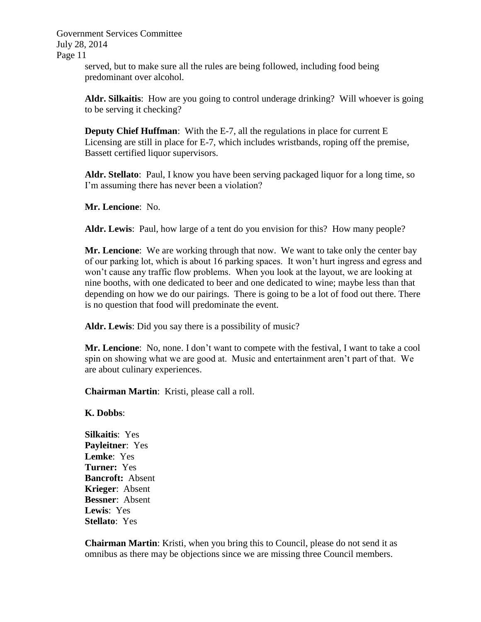> served, but to make sure all the rules are being followed, including food being predominant over alcohol.

**Aldr. Silkaitis**: How are you going to control underage drinking? Will whoever is going to be serving it checking?

**Deputy Chief Huffman:** With the E-7, all the regulations in place for current E Licensing are still in place for E-7, which includes wristbands, roping off the premise, Bassett certified liquor supervisors.

**Aldr. Stellato**: Paul, I know you have been serving packaged liquor for a long time, so I'm assuming there has never been a violation?

**Mr. Lencione**: No.

**Aldr. Lewis**: Paul, how large of a tent do you envision for this? How many people?

**Mr. Lencione**: We are working through that now. We want to take only the center bay of our parking lot, which is about 16 parking spaces. It won't hurt ingress and egress and won't cause any traffic flow problems. When you look at the layout, we are looking at nine booths, with one dedicated to beer and one dedicated to wine; maybe less than that depending on how we do our pairings. There is going to be a lot of food out there. There is no question that food will predominate the event.

**Aldr. Lewis**: Did you say there is a possibility of music?

**Mr. Lencione**: No, none. I don't want to compete with the festival, I want to take a cool spin on showing what we are good at. Music and entertainment aren't part of that. We are about culinary experiences.

**Chairman Martin**: Kristi, please call a roll.

**K. Dobbs**:

**Silkaitis**: Yes **Payleitner**: Yes **Lemke**: Yes **Turner:** Yes **Bancroft:** Absent **Krieger**: Absent **Bessner**: Absent **Lewis**: Yes **Stellato**: Yes

**Chairman Martin**: Kristi, when you bring this to Council, please do not send it as omnibus as there may be objections since we are missing three Council members.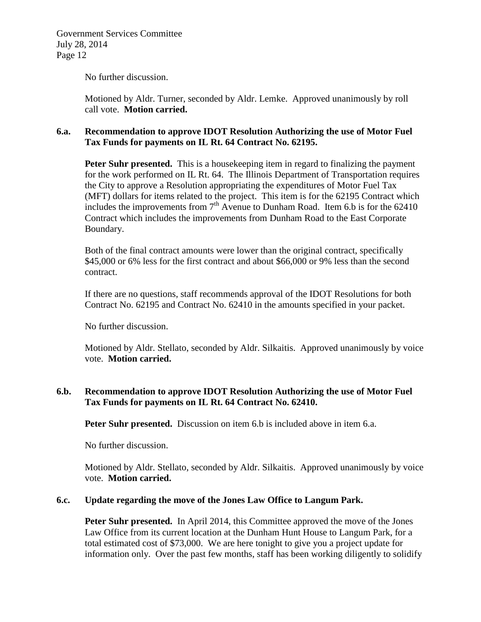No further discussion.

Motioned by Aldr. Turner, seconded by Aldr. Lemke. Approved unanimously by roll call vote. **Motion carried.**

## **6.a. Recommendation to approve IDOT Resolution Authorizing the use of Motor Fuel Tax Funds for payments on IL Rt. 64 Contract No. 62195.**

**Peter Suhr presented.** This is a house keeping item in regard to finalizing the payment for the work performed on IL Rt. 64. The Illinois Department of Transportation requires the City to approve a Resolution appropriating the expenditures of Motor Fuel Tax (MFT) dollars for items related to the project. This item is for the 62195 Contract which includes the improvements from  $7<sup>th</sup>$  Avenue to Dunham Road. Item 6.b is for the 62410 Contract which includes the improvements from Dunham Road to the East Corporate Boundary.

Both of the final contract amounts were lower than the original contract, specifically \$45,000 or 6% less for the first contract and about \$66,000 or 9% less than the second contract.

If there are no questions, staff recommends approval of the IDOT Resolutions for both Contract No. 62195 and Contract No. 62410 in the amounts specified in your packet.

No further discussion.

Motioned by Aldr. Stellato, seconded by Aldr. Silkaitis. Approved unanimously by voice vote. **Motion carried.**

## **6.b. Recommendation to approve IDOT Resolution Authorizing the use of Motor Fuel Tax Funds for payments on IL Rt. 64 Contract No. 62410.**

**Peter Suhr presented.** Discussion on item 6.b is included above in item 6.a.

No further discussion.

Motioned by Aldr. Stellato, seconded by Aldr. Silkaitis. Approved unanimously by voice vote. **Motion carried.**

# **6.c. Update regarding the move of the Jones Law Office to Langum Park.**

**Peter Suhr presented.** In April 2014, this Committee approved the move of the Jones Law Office from its current location at the Dunham Hunt House to Langum Park, for a total estimated cost of \$73,000. We are here tonight to give you a project update for information only. Over the past few months, staff has been working diligently to solidify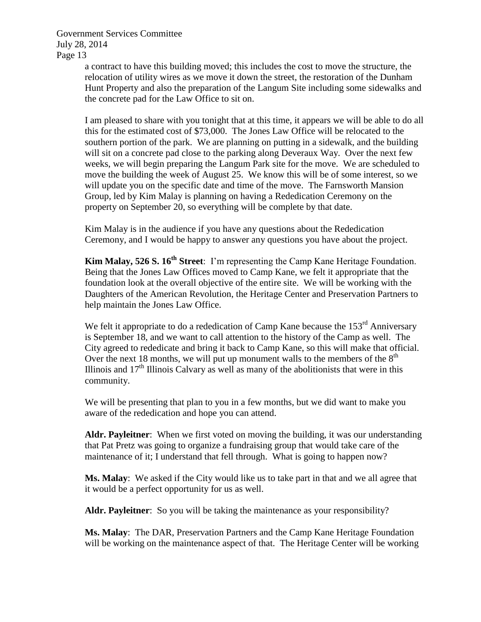> a contract to have this building moved; this includes the cost to move the structure, the relocation of utility wires as we move it down the street, the restoration of the Dunham Hunt Property and also the preparation of the Langum Site including some sidewalks and the concrete pad for the Law Office to sit on.

> I am pleased to share with you tonight that at this time, it appears we will be able to do all this for the estimated cost of \$73,000. The Jones Law Office will be relocated to the southern portion of the park. We are planning on putting in a sidewalk, and the building will sit on a concrete pad close to the parking along Deveraux Way. Over the next few weeks, we will begin preparing the Langum Park site for the move. We are scheduled to move the building the week of August 25. We know this will be of some interest, so we will update you on the specific date and time of the move. The Farnsworth Mansion Group, led by Kim Malay is planning on having a Rededication Ceremony on the property on September 20, so everything will be complete by that date.

Kim Malay is in the audience if you have any questions about the Rededication Ceremony, and I would be happy to answer any questions you have about the project.

**Kim Malay, 526 S. 16th Street**: I'm representing the Camp Kane Heritage Foundation. Being that the Jones Law Offices moved to Camp Kane, we felt it appropriate that the foundation look at the overall objective of the entire site. We will be working with the Daughters of the American Revolution, the Heritage Center and Preservation Partners to help maintain the Jones Law Office.

We felt it appropriate to do a rededication of Camp Kane because the  $153<sup>rd</sup>$  Anniversary is September 18, and we want to call attention to the history of the Camp as well. The City agreed to rededicate and bring it back to Camp Kane, so this will make that official. Over the next 18 months, we will put up monument walls to the members of the  $8<sup>th</sup>$ Illinois and  $17<sup>th</sup>$  Illinois Calvary as well as many of the abolitionists that were in this community.

We will be presenting that plan to you in a few months, but we did want to make you aware of the rededication and hope you can attend.

**Aldr. Payleitner**: When we first voted on moving the building, it was our understanding that Pat Pretz was going to organize a fundraising group that would take care of the maintenance of it; I understand that fell through. What is going to happen now?

**Ms. Malay**: We asked if the City would like us to take part in that and we all agree that it would be a perfect opportunity for us as well.

Aldr. Payleitner: So you will be taking the maintenance as your responsibility?

**Ms. Malay**: The DAR, Preservation Partners and the Camp Kane Heritage Foundation will be working on the maintenance aspect of that. The Heritage Center will be working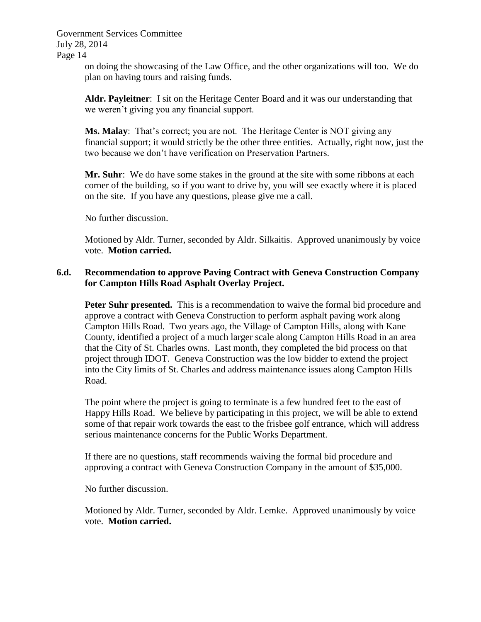> on doing the showcasing of the Law Office, and the other organizations will too. We do plan on having tours and raising funds.

**Aldr. Payleitner**: I sit on the Heritage Center Board and it was our understanding that we weren't giving you any financial support.

**Ms. Malay**: That's correct; you are not. The Heritage Center is NOT giving any financial support; it would strictly be the other three entities. Actually, right now, just the two because we don't have verification on Preservation Partners.

Mr. Suhr: We do have some stakes in the ground at the site with some ribbons at each corner of the building, so if you want to drive by, you will see exactly where it is placed on the site. If you have any questions, please give me a call.

No further discussion.

Motioned by Aldr. Turner, seconded by Aldr. Silkaitis. Approved unanimously by voice vote. **Motion carried.**

### **6.d. Recommendation to approve Paving Contract with Geneva Construction Company for Campton Hills Road Asphalt Overlay Project.**

**Peter Suhr presented.** This is a recommendation to waive the formal bid procedure and approve a contract with Geneva Construction to perform asphalt paving work along Campton Hills Road. Two years ago, the Village of Campton Hills, along with Kane County, identified a project of a much larger scale along Campton Hills Road in an area that the City of St. Charles owns. Last month, they completed the bid process on that project through IDOT. Geneva Construction was the low bidder to extend the project into the City limits of St. Charles and address maintenance issues along Campton Hills Road.

The point where the project is going to terminate is a few hundred feet to the east of Happy Hills Road. We believe by participating in this project, we will be able to extend some of that repair work towards the east to the frisbee golf entrance, which will address serious maintenance concerns for the Public Works Department.

If there are no questions, staff recommends waiving the formal bid procedure and approving a contract with Geneva Construction Company in the amount of \$35,000.

No further discussion.

Motioned by Aldr. Turner, seconded by Aldr. Lemke. Approved unanimously by voice vote. **Motion carried.**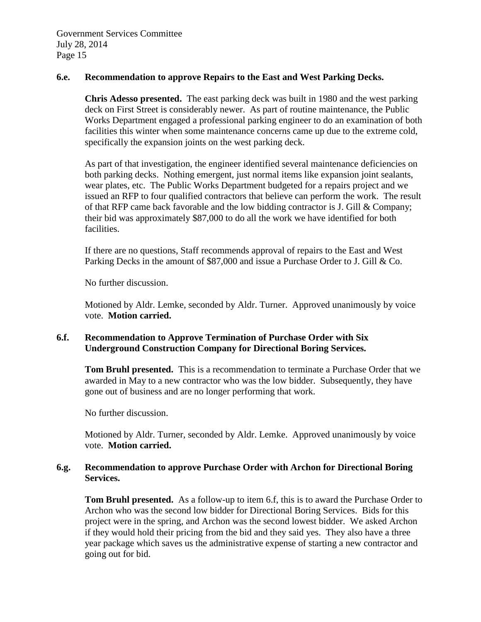#### **6.e. Recommendation to approve Repairs to the East and West Parking Decks.**

**Chris Adesso presented.** The east parking deck was built in 1980 and the west parking deck on First Street is considerably newer. As part of routine maintenance, the Public Works Department engaged a professional parking engineer to do an examination of both facilities this winter when some maintenance concerns came up due to the extreme cold, specifically the expansion joints on the west parking deck.

As part of that investigation, the engineer identified several maintenance deficiencies on both parking decks. Nothing emergent, just normal items like expansion joint sealants, wear plates, etc. The Public Works Department budgeted for a repairs project and we issued an RFP to four qualified contractors that believe can perform the work. The result of that RFP came back favorable and the low bidding contractor is J. Gill & Company; their bid was approximately \$87,000 to do all the work we have identified for both facilities.

If there are no questions, Staff recommends approval of repairs to the East and West Parking Decks in the amount of \$87,000 and issue a Purchase Order to J. Gill & Co.

No further discussion.

Motioned by Aldr. Lemke, seconded by Aldr. Turner. Approved unanimously by voice vote. **Motion carried.**

## **6.f. Recommendation to Approve Termination of Purchase Order with Six Underground Construction Company for Directional Boring Services.**

**Tom Bruhl presented.** This is a recommendation to terminate a Purchase Order that we awarded in May to a new contractor who was the low bidder. Subsequently, they have gone out of business and are no longer performing that work.

No further discussion.

Motioned by Aldr. Turner, seconded by Aldr. Lemke. Approved unanimously by voice vote. **Motion carried.**

### **6.g. Recommendation to approve Purchase Order with Archon for Directional Boring Services.**

**Tom Bruhl presented.** As a follow-up to item 6.f, this is to award the Purchase Order to Archon who was the second low bidder for Directional Boring Services. Bids for this project were in the spring, and Archon was the second lowest bidder. We asked Archon if they would hold their pricing from the bid and they said yes. They also have a three year package which saves us the administrative expense of starting a new contractor and going out for bid.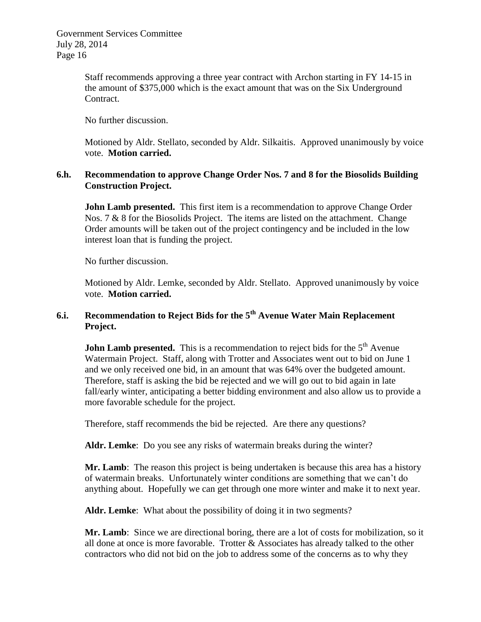> Staff recommends approving a three year contract with Archon starting in FY 14-15 in the amount of \$375,000 which is the exact amount that was on the Six Underground Contract.

No further discussion.

Motioned by Aldr. Stellato, seconded by Aldr. Silkaitis. Approved unanimously by voice vote. **Motion carried.**

## **6.h. Recommendation to approve Change Order Nos. 7 and 8 for the Biosolids Building Construction Project.**

**John Lamb presented.** This first item is a recommendation to approve Change Order Nos. 7 & 8 for the Biosolids Project. The items are listed on the attachment. Change Order amounts will be taken out of the project contingency and be included in the low interest loan that is funding the project.

No further discussion.

Motioned by Aldr. Lemke, seconded by Aldr. Stellato. Approved unanimously by voice vote. **Motion carried.**

# **6.i. Recommendation to Reject Bids for the 5th Avenue Water Main Replacement Project.**

**John Lamb presented.** This is a recommendation to reject bids for the 5<sup>th</sup> Avenue Watermain Project. Staff, along with Trotter and Associates went out to bid on June 1 and we only received one bid, in an amount that was 64% over the budgeted amount. Therefore, staff is asking the bid be rejected and we will go out to bid again in late fall/early winter, anticipating a better bidding environment and also allow us to provide a more favorable schedule for the project.

Therefore, staff recommends the bid be rejected. Are there any questions?

**Aldr. Lemke**: Do you see any risks of watermain breaks during the winter?

**Mr. Lamb**: The reason this project is being undertaken is because this area has a history of watermain breaks. Unfortunately winter conditions are something that we can't do anything about. Hopefully we can get through one more winter and make it to next year.

**Aldr. Lemke**: What about the possibility of doing it in two segments?

**Mr. Lamb**: Since we are directional boring, there are a lot of costs for mobilization, so it all done at once is more favorable. Trotter & Associates has already talked to the other contractors who did not bid on the job to address some of the concerns as to why they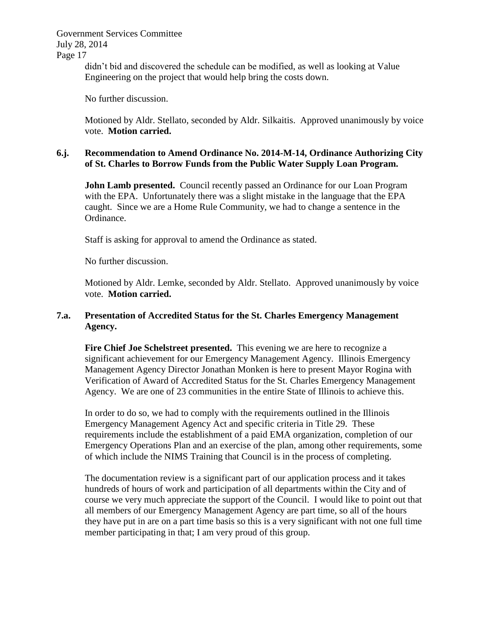Government Services Committee July 28, 2014

Page 17

didn't bid and discovered the schedule can be modified, as well as looking at Value Engineering on the project that would help bring the costs down.

No further discussion.

Motioned by Aldr. Stellato, seconded by Aldr. Silkaitis. Approved unanimously by voice vote. **Motion carried.**

## **6.j. Recommendation to Amend Ordinance No. 2014-M-14, Ordinance Authorizing City of St. Charles to Borrow Funds from the Public Water Supply Loan Program.**

**John Lamb presented.** Council recently passed an Ordinance for our Loan Program with the EPA. Unfortunately there was a slight mistake in the language that the EPA caught. Since we are a Home Rule Community, we had to change a sentence in the Ordinance.

Staff is asking for approval to amend the Ordinance as stated.

No further discussion.

Motioned by Aldr. Lemke, seconded by Aldr. Stellato. Approved unanimously by voice vote. **Motion carried.**

## **7.a. Presentation of Accredited Status for the St. Charles Emergency Management Agency.**

**Fire Chief Joe Schelstreet presented.** This evening we are here to recognize a significant achievement for our Emergency Management Agency. Illinois Emergency Management Agency Director Jonathan Monken is here to present Mayor Rogina with Verification of Award of Accredited Status for the St. Charles Emergency Management Agency. We are one of 23 communities in the entire State of Illinois to achieve this.

In order to do so, we had to comply with the requirements outlined in the Illinois Emergency Management Agency Act and specific criteria in Title 29. These requirements include the establishment of a paid EMA organization, completion of our Emergency Operations Plan and an exercise of the plan, among other requirements, some of which include the NIMS Training that Council is in the process of completing.

The documentation review is a significant part of our application process and it takes hundreds of hours of work and participation of all departments within the City and of course we very much appreciate the support of the Council. I would like to point out that all members of our Emergency Management Agency are part time, so all of the hours they have put in are on a part time basis so this is a very significant with not one full time member participating in that; I am very proud of this group.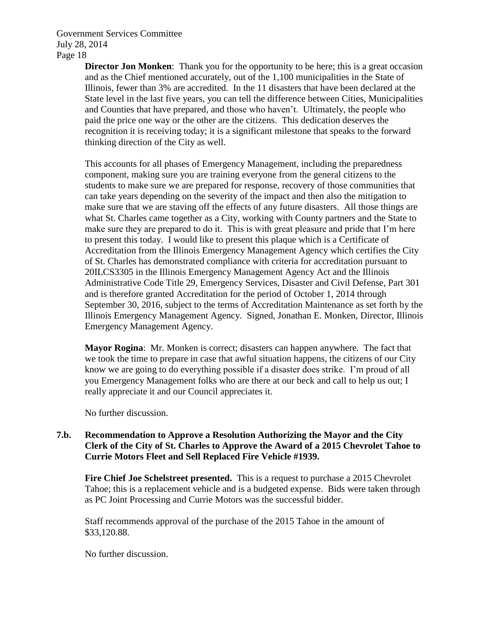> **Director Jon Monken**: Thank you for the opportunity to be here; this is a great occasion and as the Chief mentioned accurately, out of the 1,100 municipalities in the State of Illinois, fewer than 3% are accredited. In the 11 disasters that have been declared at the State level in the last five years, you can tell the difference between Cities, Municipalities and Counties that have prepared, and those who haven't. Ultimately, the people who paid the price one way or the other are the citizens. This dedication deserves the recognition it is receiving today; it is a significant milestone that speaks to the forward thinking direction of the City as well.

> This accounts for all phases of Emergency Management, including the preparedness component, making sure you are training everyone from the general citizens to the students to make sure we are prepared for response, recovery of those communities that can take years depending on the severity of the impact and then also the mitigation to make sure that we are staving off the effects of any future disasters. All those things are what St. Charles came together as a City, working with County partners and the State to make sure they are prepared to do it. This is with great pleasure and pride that I'm here to present this today. I would like to present this plaque which is a Certificate of Accreditation from the Illinois Emergency Management Agency which certifies the City of St. Charles has demonstrated compliance with criteria for accreditation pursuant to 20ILCS3305 in the Illinois Emergency Management Agency Act and the Illinois Administrative Code Title 29, Emergency Services, Disaster and Civil Defense, Part 301 and is therefore granted Accreditation for the period of October 1, 2014 through September 30, 2016, subject to the terms of Accreditation Maintenance as set forth by the Illinois Emergency Management Agency. Signed, Jonathan E. Monken, Director, Illinois Emergency Management Agency.

**Mayor Rogina**: Mr. Monken is correct; disasters can happen anywhere. The fact that we took the time to prepare in case that awful situation happens, the citizens of our City know we are going to do everything possible if a disaster does strike. I'm proud of all you Emergency Management folks who are there at our beck and call to help us out; I really appreciate it and our Council appreciates it.

No further discussion.

### **7.b. Recommendation to Approve a Resolution Authorizing the Mayor and the City Clerk of the City of St. Charles to Approve the Award of a 2015 Chevrolet Tahoe to Currie Motors Fleet and Sell Replaced Fire Vehicle #1939.**

**Fire Chief Joe Schelstreet presented.** This is a request to purchase a 2015 Chevrolet Tahoe; this is a replacement vehicle and is a budgeted expense. Bids were taken through as PC Joint Processing and Currie Motors was the successful bidder.

Staff recommends approval of the purchase of the 2015 Tahoe in the amount of \$33,120.88.

No further discussion.